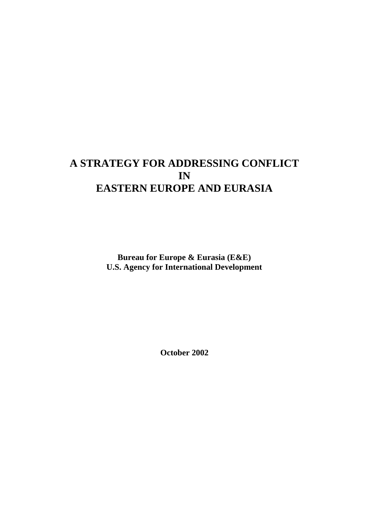# **A STRATEGY FOR ADDRESSING CONFLICT IN EASTERN EUROPE AND EURASIA**

**Bureau for Europe & Eurasia (E&E) U.S. Agency for International Development**

**October 2002**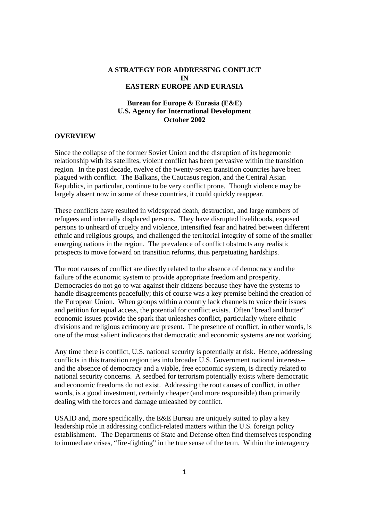## **A STRATEGY FOR ADDRESSING CONFLICT IN EASTERN EUROPE AND EURASIA**

## **Bureau for Europe & Eurasia (E&E) U.S. Agency for International Development October 2002**

### **OVERVIEW**

Since the collapse of the former Soviet Union and the disruption of its hegemonic relationship with its satellites, violent conflict has been pervasive within the transition region. In the past decade, twelve of the twenty-seven transition countries have been plagued with conflict. The Balkans, the Caucasus region, and the Central Asian Republics, in particular, continue to be very conflict prone. Though violence may be largely absent now in some of these countries, it could quickly reappear.

These conflicts have resulted in widespread death, destruction, and large numbers of refugees and internally displaced persons. They have disrupted livelihoods, exposed persons to unheard of cruelty and violence, intensified fear and hatred between different ethnic and religious groups, and challenged the territorial integrity of some of the smaller emerging nations in the region. The prevalence of conflict obstructs any realistic prospects to move forward on transition reforms, thus perpetuating hardships.

The root causes of conflict are directly related to the absence of democracy and the failure of the economic system to provide appropriate freedom and prosperity. Democracies do not go to war against their citizens because they have the systems to handle disagreements peacefully; this of course was a key premise behind the creation of the European Union. When groups within a country lack channels to voice their issues and petition for equal access, the potential for conflict exists. Often "bread and butter" economic issues provide the spark that unleashes conflict, particularly where ethnic divisions and religious acrimony are present. The presence of conflict, in other words, is one of the most salient indicators that democratic and economic systems are not working.

Any time there is conflict, U.S. national security is potentially at risk. Hence, addressing conflicts in this transition region ties into broader U.S. Government national interests- and the absence of democracy and a viable, free economic system, is directly related to national security concerns. A seedbed for terrorism potentially exists where democratic and economic freedoms do not exist. Addressing the root causes of conflict, in other words, is a good investment, certainly cheaper (and more responsible) than primarily dealing with the forces and damage unleashed by conflict.

USAID and, more specifically, the E&E Bureau are uniquely suited to play a key leadership role in addressing conflict-related matters within the U.S. foreign policy establishment. The Departments of State and Defense often find themselves responding to immediate crises, "fire-fighting" in the true sense of the term. Within the interagency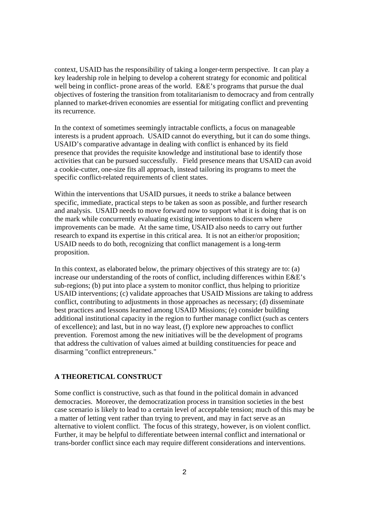context, USAID has the responsibility of taking a longer-term perspective. It can play a key leadership role in helping to develop a coherent strategy for economic and political well being in conflict- prone areas of the world. E&E's programs that pursue the dual objectives of fostering the transition from totalitarianism to democracy and from centrally planned to market-driven economies are essential for mitigating conflict and preventing its recurrence.

In the context of sometimes seemingly intractable conflicts, a focus on manageable interests is a prudent approach. USAID cannot do everything, but it can do some things. USAID's comparative advantage in dealing with conflict is enhanced by its field presence that provides the requisite knowledge and institutional base to identify those activities that can be pursued successfully. Field presence means that USAID can avoid a cookie-cutter, one-size fits all approach, instead tailoring its programs to meet the specific conflict-related requirements of client states.

Within the interventions that USAID pursues, it needs to strike a balance between specific, immediate, practical steps to be taken as soon as possible, and further research and analysis. USAID needs to move forward now to support what it is doing that is on the mark while concurrently evaluating existing interventions to discern where improvements can be made. At the same time, USAID also needs to carry out further research to expand its expertise in this critical area. It is not an either/or proposition; USAID needs to do both, recognizing that conflict management is a long-term proposition.

In this context, as elaborated below, the primary objectives of this strategy are to: (a) increase our understanding of the roots of conflict, including differences within E&E's sub-regions; (b) put into place a system to monitor conflict, thus helping to prioritize USAID interventions; (c) validate approaches that USAID Missions are taking to address conflict, contributing to adjustments in those approaches as necessary; (d) disseminate best practices and lessons learned among USAID Missions; (e) consider building additional institutional capacity in the region to further manage conflict (such as centers of excellence); and last, but in no way least, (f) explore new approaches to conflict prevention. Foremost among the new initiatives will be the development of programs that address the cultivation of values aimed at building constituencies for peace and disarming "conflict entrepreneurs."

## **A THEORETICAL CONSTRUCT**

Some conflict is constructive, such as that found in the political domain in advanced democracies. Moreover, the democratization process in transition societies in the best case scenario is likely to lead to a certain level of acceptable tension; much of this may be a matter of letting vent rather than trying to prevent, and may in fact serve as an alternative to violent conflict. The focus of this strategy, however, is on violent conflict. Further, it may be helpful to differentiate between internal conflict and international or trans-border conflict since each may require different considerations and interventions.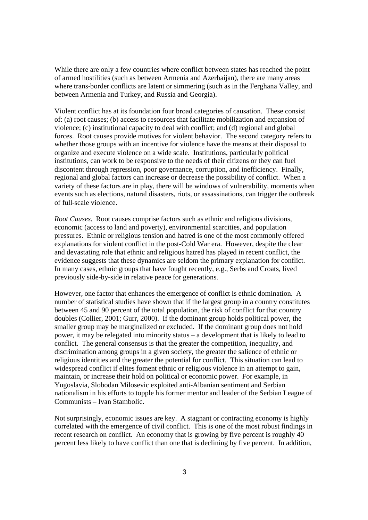While there are only a few countries where conflict between states has reached the point of armed hostilities (such as between Armenia and Azerbaijan), there are many areas where trans-border conflicts are latent or simmering (such as in the Ferghana Valley, and between Armenia and Turkey, and Russia and Georgia).

Violent conflict has at its foundation four broad categories of causation. These consist of: (a) root causes; (b) access to resources that facilitate mobilization and expansion of violence; (c) institutional capacity to deal with conflict; and (d) regional and global forces. Root causes provide motives for violent behavior. The second category refers to whether those groups with an incentive for violence have the means at their disposal to organize and execute violence on a wide scale. Institutions, particularly political institutions, can work to be responsive to the needs of their citizens or they can fuel discontent through repression, poor governance, corruption, and inefficiency. Finally, regional and global factors can increase or decrease the possibility of conflict. When a variety of these factors are in play, there will be windows of vulnerability, moments when events such as elections, natural disasters, riots, or assassinations, can trigger the outbreak of full-scale violence.

*Root Causes.* Root causes comprise factors such as ethnic and religious divisions, economic (access to land and poverty), environmental scarcities, and population pressures. Ethnic or religious tension and hatred is one of the most commonly offered explanations for violent conflict in the post-Cold War era. However, despite the clear and devastating role that ethnic and religious hatred has played in recent conflict, the evidence suggests that these dynamics are seldom the primary explanation for conflict. In many cases, ethnic groups that have fought recently, e.g., Serbs and Croats, lived previously side-by-side in relative peace for generations.

However, one factor that enhances the emergence of conflict is ethnic domination. A number of statistical studies have shown that if the largest group in a country constitutes between 45 and 90 percent of the total population, the risk of conflict for that country doubles (Collier, 2001; Gurr, 2000). If the dominant group holds political power, the smaller group may be marginalized or excluded. If the dominant group does not hold power, it may be relegated into minority status – a development that is likely to lead to conflict. The general consensus is that the greater the competition, inequality, and discrimination among groups in a given society, the greater the salience of ethnic or religious identities and the greater the potential for conflict. This situation can lead to widespread conflict if elites foment ethnic or religious violence in an attempt to gain, maintain, or increase their hold on political or economic power. For example, in Yugoslavia, Slobodan Milosevic exploited anti-Albanian sentiment and Serbian nationalism in his efforts to topple his former mentor and leader of the Serbian League of Communists – Ivan Stambolic.

Not surprisingly, economic issues are key. A stagnant or contracting economy is highly correlated with the emergence of civil conflict. This is one of the most robust findings in recent research on conflict. An economy that is growing by five percent is roughly 40 percent less likely to have conflict than one that is declining by five percent. In addition,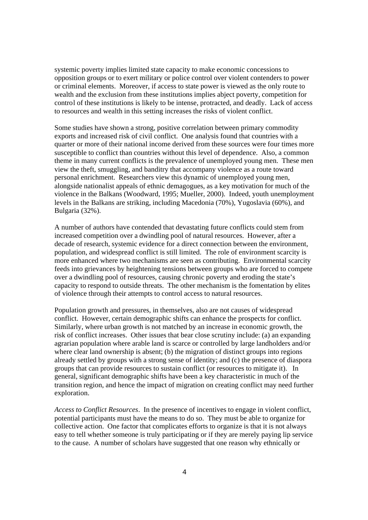systemic poverty implies limited state capacity to make economic concessions to opposition groups or to exert military or police control over violent contenders to power or criminal elements. Moreover, if access to state power is viewed as the only route to wealth and the exclusion from these institutions implies abject poverty, competition for control of these institutions is likely to be intense, protracted, and deadly. Lack of access to resources and wealth in this setting increases the risks of violent conflict.

Some studies have shown a strong, positive correlation between primary commodity exports and increased risk of civil conflict. One analysis found that countries with a quarter or more of their national income derived from these sources were four times more susceptible to conflict than countries without this level of dependence. Also, a common theme in many current conflicts is the prevalence of unemployed young men. These men view the theft, smuggling, and banditry that accompany violence as a route toward personal enrichment. Researchers view this dynamic of unemployed young men, alongside nationalist appeals of ethnic demagogues, as a key motivation for much of the violence in the Balkans (Woodward, 1995; Mueller, 2000). Indeed, youth unemployment levels in the Balkans are striking, including Macedonia (70%), Yugoslavia (60%), and Bulgaria (32%).

A number of authors have contended that devastating future conflicts could stem from increased competition over a dwindling pool of natural resources. However, after a decade of research, systemic evidence for a direct connection between the environment, population, and widespread conflict is still limited. The role of environment scarcity is more enhanced where two mechanisms are seen as contributing. Environmental scarcity feeds into grievances by heightening tensions between groups who are forced to compete over a dwindling pool of resources, causing chronic poverty and eroding the state's capacity to respond to outside threats. The other mechanism is the fomentation by elites of violence through their attempts to control access to natural resources.

Population growth and pressures, in themselves, also are not causes of widespread conflict. However, certain demographic shifts can enhance the prospects for conflict. Similarly, where urban growth is not matched by an increase in economic growth, the risk of conflict increases. Other issues that bear close scrutiny include: (a) an expanding agrarian population where arable land is scarce or controlled by large landholders and/or where clear land ownership is absent; (b) the migration of distinct groups into regions already settled by groups with a strong sense of identity; and (c) the presence of diaspora groups that can provide resources to sustain conflict (or resources to mitigate it). In general, significant demographic shifts have been a key characteristic in much of the transition region, and hence the impact of migration on creating conflict may need further exploration.

*Access to Conflict Resources*. In the presence of incentives to engage in violent conflict, potential participants must have the means to do so. They must be able to organize for collective action. One factor that complicates efforts to organize is that it is not always easy to tell whether someone is truly participating or if they are merely paying lip service to the cause. A number of scholars have suggested that one reason why ethnically or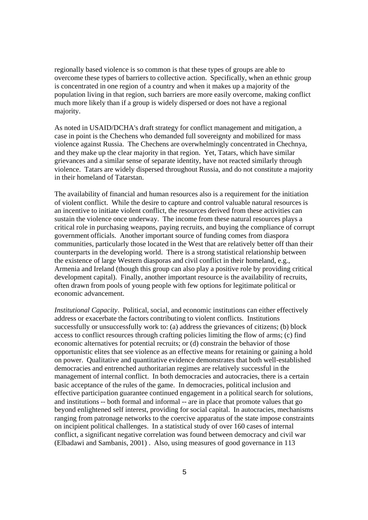regionally based violence is so common is that these types of groups are able to overcome these types of barriers to collective action. Specifically, when an ethnic group is concentrated in one region of a country and when it makes up a majority of the population living in that region, such barriers are more easily overcome, making conflict much more likely than if a group is widely dispersed or does not have a regional majority.

As noted in USAID/DCHA's draft strategy for conflict management and mitigation, a case in point is the Chechens who demanded full sovereignty and mobilized for mass violence against Russia. The Chechens are overwhelmingly concentrated in Chechnya, and they make up the clear majority in that region. Yet, Tatars, which have similar grievances and a similar sense of separate identity, have not reacted similarly through violence. Tatars are widely dispersed throughout Russia, and do not constitute a majority in their homeland of Tatarstan.

The availability of financial and human resources also is a requirement for the initiation of violent conflict. While the desire to capture and control valuable natural resources is an incentive to initiate violent conflict, the resources derived from these activities can sustain the violence once underway. The income from these natural resources plays a critical role in purchasing weapons, paying recruits, and buying the compliance of corrupt government officials. Another important source of funding comes from diaspora communities, particularly those located in the West that are relatively better off than their counterparts in the developing world. There is a strong statistical relationship between the existence of large Western diasporas and civil conflict in their homeland, e.g., Armenia and Ireland (though this group can also play a positive role by providing critical development capital). Finally, another important resource is the availability of recruits, often drawn from pools of young people with few options for legitimate political or economic advancement.

*Institutional Capacity*. Political, social, and economic institutions can either effectively address or exacerbate the factors contributing to violent conflicts. Institutions successfully or unsuccessfully work to: (a) address the grievances of citizens; (b) block access to conflict resources through crafting policies limiting the flow of arms; (c) find economic alternatives for potential recruits; or (d) constrain the behavior of those opportunistic elites that see violence as an effective means for retaining or gaining a hold on power. Qualitative and quantitative evidence demonstrates that both well-established democracies and entrenched authoritarian regimes are relatively successful in the management of internal conflict. In both democracies and autocracies, there is a certain basic acceptance of the rules of the game. In democracies, political inclusion and effective participation guarantee continued engagement in a political search for solutions, and institutions -- both formal and informal -- are in place that promote values that go beyond enlightened self interest, providing for social capital. In autocracies, mechanisms ranging from patronage networks to the coercive apparatus of the state impose constraints on incipient political challenges. In a statistical study of over 160 cases of internal conflict, a significant negative correlation was found between democracy and civil war (Elbadawi and Sambanis, 2001) . Also, using measures of good governance in 113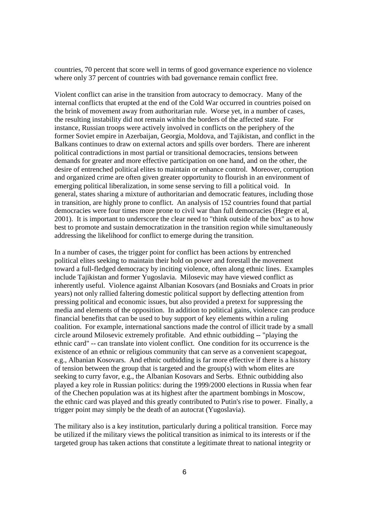countries, 70 percent that score well in terms of good governance experience no violence where only 37 percent of countries with bad governance remain conflict free.

Violent conflict can arise in the transition from autocracy to democracy. Many of the internal conflicts that erupted at the end of the Cold War occurred in countries poised on the brink of movement away from authoritarian rule. Worse yet, in a number of cases, the resulting instability did not remain within the borders of the affected state. For instance, Russian troops were actively involved in conflicts on the periphery of the former Soviet empire in Azerbaijan, Georgia, Moldova, and Tajikistan, and conflict in the Balkans continues to draw on external actors and spills over borders. There are inherent political contradictions in most partial or transitional democracies, tensions between demands for greater and more effective participation on one hand, and on the other, the desire of entrenched political elites to maintain or enhance control. Moreover, corruption and organized crime are often given greater opportunity to flourish in an environment of emerging political liberalization, in some sense serving to fill a political void. In general, states sharing a mixture of authoritarian and democratic features, including those in transition, are highly prone to conflict. An analysis of 152 countries found that partial democracies were four times more prone to civil war than full democracies (Hegre et al, 2001). It is important to underscore the clear need to "think outside of the box" as to how best to promote and sustain democratization in the transition region while simultaneously addressing the likelihood for conflict to emerge during the transition.

In a number of cases, the trigger point for conflict has been actions by entrenched political elites seeking to maintain their hold on power and forestall the movement toward a full-fledged democracy by inciting violence, often along ethnic lines. Examples include Tajikistan and former Yugoslavia. Milosevic may have viewed conflict as inherently useful. Violence against Albanian Kosovars (and Bosniaks and Croats in prior years) not only rallied faltering domestic political support by deflecting attention from pressing political and economic issues, but also provided a pretext for suppressing the media and elements of the opposition. In addition to political gains, violence can produce financial benefits that can be used to buy support of key elements within a ruling coalition. For example, international sanctions made the control of illicit trade by a small circle around Milosevic extremely profitable. And ethnic outbidding -- "playing the ethnic card" -- can translate into violent conflict. One condition for its occurrence is the existence of an ethnic or religious community that can serve as a convenient scapegoat, e.g., Albanian Kosovars. And ethnic outbidding is far more effective if there is a history of tension between the group that is targeted and the group(s) with whom elites are seeking to curry favor, e.g., the Albanian Kosovars and Serbs. Ethnic outbidding also played a key role in Russian politics: during the 1999/2000 elections in Russia when fear of the Chechen population was at its highest after the apartment bombings in Moscow, the ethnic card was played and this greatly contributed to Putin's rise to power. Finally, a trigger point may simply be the death of an autocrat (Yugoslavia).

The military also is a key institution, particularly during a political transition. Force may be utilized if the military views the political transition as inimical to its interests or if the targeted group has taken actions that constitute a legitimate threat to national integrity or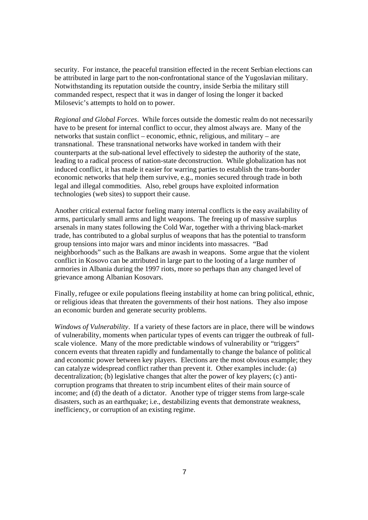security. For instance, the peaceful transition effected in the recent Serbian elections can be attributed in large part to the non-confrontational stance of the Yugoslavian military. Notwithstanding its reputation outside the country, inside Serbia the military still commanded respect, respect that it was in danger of losing the longer it backed Milosevic's attempts to hold on to power.

*Regional and Global Forces*. While forces outside the domestic realm do not necessarily have to be present for internal conflict to occur, they almost always are. Many of the networks that sustain conflict – economic, ethnic, religious, and military – are transnational. These transnational networks have worked in tandem with their counterparts at the sub-national level effectively to sidestep the authority of the state, leading to a radical process of nation-state deconstruction. While globalization has not induced conflict, it has made it easier for warring parties to establish the trans-border economic networks that help them survive, e.g., monies secured through trade in both legal and illegal commodities. Also, rebel groups have exploited information technologies (web sites) to support their cause.

Another critical external factor fueling many internal conflicts is the easy availability of arms, particularly small arms and light weapons. The freeing up of massive surplus arsenals in many states following the Cold War, together with a thriving black-market trade, has contributed to a global surplus of weapons that has the potential to transform group tensions into major wars and minor incidents into massacres. "Bad neighborhoods" such as the Balkans are awash in weapons. Some argue that the violent conflict in Kosovo can be attributed in large part to the looting of a large number of armories in Albania during the 1997 riots, more so perhaps than any changed level of grievance among Albanian Kosovars.

Finally, refugee or exile populations fleeing instability at home can bring political, ethnic, or religious ideas that threaten the governments of their host nations. They also impose an economic burden and generate security problems.

*Windows of Vulnerability*. If a variety of these factors are in place, there will be windows of vulnerability, moments when particular types of events can trigger the outbreak of fullscale violence. Many of the more predictable windows of vulnerability or "triggers" concern events that threaten rapidly and fundamentally to change the balance of political and economic power between key players. Elections are the most obvious example; they can catalyze widespread conflict rather than prevent it. Other examples include: (a) decentralization; (b) legislative changes that alter the power of key players; (c) anticorruption programs that threaten to strip incumbent elites of their main source of income; and (d) the death of a dictator. Another type of trigger stems from large-scale disasters, such as an earthquake; i.e., destabilizing events that demonstrate weakness, inefficiency, or corruption of an existing regime.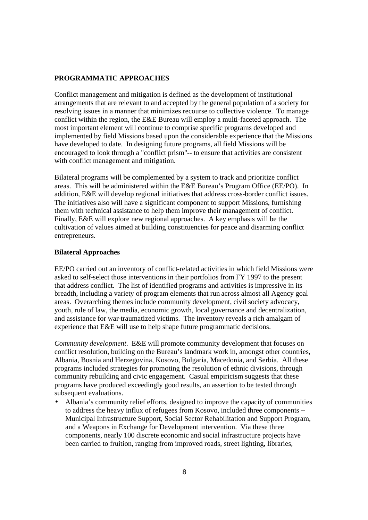## **PROGRAMMATIC APPROACHES**

Conflict management and mitigation is defined as the development of institutional arrangements that are relevant to and accepted by the general population of a society for resolving issues in a manner that minimizes recourse to collective violence. To manage conflict within the region, the E&E Bureau will employ a multi-faceted approach. The most important element will continue to comprise specific programs developed and implemented by field Missions based upon the considerable experience that the Missions have developed to date. In designing future programs, all field Missions will be encouraged to look through a "conflict prism"-- to ensure that activities are consistent with conflict management and mitigation.

Bilateral programs will be complemented by a system to track and prioritize conflict areas. This will be administered within the E&E Bureau's Program Office (EE/PO). In addition, E&E will develop regional initiatives that address cross-border conflict issues. The initiatives also will have a significant component to support Missions, furnishing them with technical assistance to help them improve their management of conflict. Finally, E&E will explore new regional approaches. A key emphasis will be the cultivation of values aimed at building constituencies for peace and disarming conflict entrepreneurs.

### **Bilateral Approaches**

EE/PO carried out an inventory of conflict-related activities in which field Missions were asked to self-select those interventions in their portfolios from FY 1997 to the present that address conflict. The list of identified programs and activities is impressive in its breadth, including a variety of program elements that run across almost all Agency goal areas. Overarching themes include community development, civil society advocacy, youth, rule of law, the media, economic growth, local governance and decentralization, and assistance for war-traumatized victims. The inventory reveals a rich amalgam of experience that E&E will use to help shape future programmatic decisions.

*Community development*. E&E will promote community development that focuses on conflict resolution, building on the Bureau's landmark work in, amongst other countries, Albania, Bosnia and Herzegovina, Kosovo, Bulgaria, Macedonia, and Serbia. All these programs included strategies for promoting the resolution of ethnic divisions, through community rebuilding and civic engagement. Casual empiricism suggests that these programs have produced exceedingly good results, an assertion to be tested through subsequent evaluations.

• Albania's community relief efforts, designed to improve the capacity of communities to address the heavy influx of refugees from Kosovo, included three components -- Municipal Infrastructure Support, Social Sector Rehabilitation and Support Program, and a Weapons in Exchange for Development intervention. Via these three components, nearly 100 discrete economic and social infrastructure projects have been carried to fruition, ranging from improved roads, street lighting, libraries,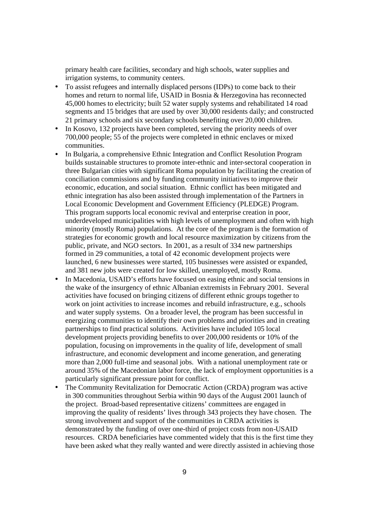primary health care facilities, secondary and high schools, water supplies and irrigation systems, to community centers.

- To assist refugees and internally displaced persons (IDPs) to come back to their homes and return to normal life, USAID in Bosnia & Herzegovina has reconnected 45,000 homes to electricity; built 52 water supply systems and rehabilitated 14 road segments and 15 bridges that are used by over 30,000 residents daily; and constructed 21 primary schools and six secondary schools benefiting over 20,000 children.
- In Kosovo, 132 projects have been completed, serving the priority needs of over 700,000 people; 55 of the projects were completed in ethnic enclaves or mixed communities.
- In Bulgaria, a comprehensive Ethnic Integration and Conflict Resolution Program builds sustainable structures to promote inter-ethnic and inter-sectoral cooperation in three Bulgarian cities with significant Roma population by facilitating the creation of conciliation commissions and by funding community initiatives to improve their economic, education, and social situation. Ethnic conflict has been mitigated and ethnic integration has also been assisted through implementation of the Partners in Local Economic Development and Government Efficiency (PLEDGE) Program. This program supports local economic revival and enterprise creation in poor, underdeveloped municipalities with high levels of unemployment and often with high minority (mostly Roma) populations. At the core of the program is the formation of strategies for economic growth and local resource maximization by citizens from the public, private, and NGO sectors. In 2001, as a result of 334 new partnerships formed in 29 communities, a total of 42 economic development projects were launched, 6 new businesses were started, 105 businesses were assisted or expanded, and 381 new jobs were created for low skilled, unemployed, mostly Roma.
- In Macedonia, USAID's efforts have focused on easing ethnic and social tensions in the wake of the insurgency of ethnic Albanian extremists in February 2001. Several activities have focused on bringing citizens of different ethnic groups together to work on joint activities to increase incomes and rebuild infrastructure, e.g., schools and water supply systems. On a broader level, the program has been successful in energizing communities to identify their own problems and priorities and in creating partnerships to find practical solutions. Activities have included 105 local development projects providing benefits to over 200,000 residents or 10% of the population, focusing on improvements in the quality of life, development of small infrastructure, and economic development and income generation, and generating more than 2,000 full-time and seasonal jobs. With a national unemployment rate or around 35% of the Macedonian labor force, the lack of employment opportunities is a particularly significant pressure point for conflict.
- The Community Revitalization for Democratic Action (CRDA) program was active in 300 communities throughout Serbia within 90 days of the August 2001 launch of the project. Broad-based representative citizens' committees are engaged in improving the quality of residents' lives through 343 projects they have chosen. The strong involvement and support of the communities in CRDA activities is demonstrated by the funding of over one-third of project costs from non-USAID resources. CRDA beneficiaries have commented widely that this is the first time they have been asked what they really wanted and were directly assisted in achieving those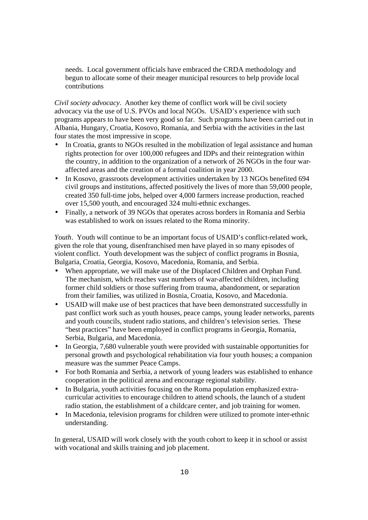needs. Local government officials have embraced the CRDA methodology and begun to allocate some of their meager municipal resources to help provide local contributions

*Civil society advocacy*. Another key theme of conflict work will be civil society advocacy via the use of U.S. PVOs and local NGOs. USAID's experience with such programs appears to have been very good so far. Such programs have been carried out in Albania, Hungary, Croatia, Kosovo, Romania, and Serbia with the activities in the last four states the most impressive in scope.

- In Croatia, grants to NGOs resulted in the mobilization of legal assistance and human rights protection for over 100,000 refugees and IDPs and their reintegration within the country, in addition to the organization of a network of 26 NGOs in the four waraffected areas and the creation of a formal coalition in year 2000.
- In Kosovo, grassroots development activities undertaken by 13 NGOs benefited 694 civil groups and institutions, affected positively the lives of more than 59,000 people, created 350 full-time jobs, helped over 4,000 farmers increase production, reached over 15,500 youth, and encouraged 324 multi-ethnic exchanges.
- Finally, a network of 39 NGOs that operates across borders in Romania and Serbia was established to work on issues related to the Roma minority.

*Youth*. Youth will continue to be an important focus of USAID's conflict-related work, given the role that young, disenfranchised men have played in so many episodes of violent conflict. Youth development was the subject of conflict programs in Bosnia, Bulgaria, Croatia, Georgia, Kosovo, Macedonia, Romania, and Serbia.

- When appropriate, we will make use of the Displaced Children and Orphan Fund. The mechanism, which reaches vast numbers of war-affected children, including former child soldiers or those suffering from trauma, abandonment, or separation from their families, was utilized in Bosnia, Croatia, Kosovo, and Macedonia.
- USAID will make use of best practices that have been demonstrated successfully in past conflict work such as youth houses, peace camps, young leader networks, parents and youth councils, student radio stations, and children's television series. These "best practices" have been employed in conflict programs in Georgia, Romania, Serbia, Bulgaria, and Macedonia.
- In Georgia, 7,680 vulnerable youth were provided with sustainable opportunities for personal growth and psychological rehabilitation via four youth houses; a companion measure was the summer Peace Camps.
- For both Romania and Serbia, a network of young leaders was established to enhance cooperation in the political arena and encourage regional stability.
- In Bulgaria, youth activities focusing on the Roma population emphasized extracurricular activities to encourage children to attend schools, the launch of a student radio station, the establishment of a childcare center, and job training for women.
- In Macedonia, television programs for children were utilized to promote inter-ethnic understanding.

In general, USAID will work closely with the youth cohort to keep it in school or assist with vocational and skills training and job placement.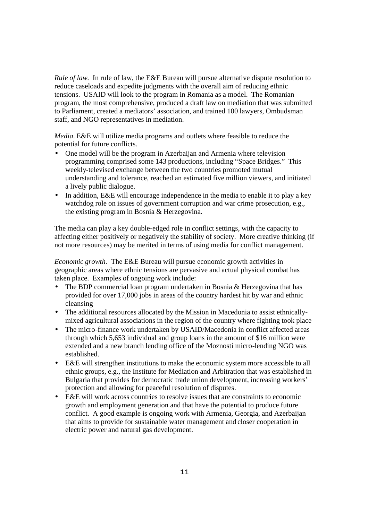*Rule of law*. In rule of law, the E&E Bureau will pursue alternative dispute resolution to reduce caseloads and expedite judgments with the overall aim of reducing ethnic tensions. USAID will look to the program in Romania as a model. The Romanian program, the most comprehensive, produced a draft law on mediation that was submitted to Parliament, created a mediators' association, and trained 100 lawyers, Ombudsman staff, and NGO representatives in mediation.

*Media.* E&E will utilize media programs and outlets where feasible to reduce the potential for future conflicts.

- One model will be the program in Azerbaijan and Armenia where television programming comprised some 143 productions, including "Space Bridges." This weekly-televised exchange between the two countries promoted mutual understanding and tolerance, reached an estimated five million viewers, and initiated a lively public dialogue.
- In addition, E&E will encourage independence in the media to enable it to play a key watchdog role on issues of government corruption and war crime prosecution, e.g., the existing program in Bosnia & Herzegovina.

The media can play a key double-edged role in conflict settings, with the capacity to affecting either positively or negatively the stability of society. More creative thinking (if not more resources) may be merited in terms of using media for conflict management.

*Economic growth*. The E&E Bureau will pursue economic growth activities in geographic areas where ethnic tensions are pervasive and actual physical combat has taken place. Examples of ongoing work include:

- The BDP commercial loan program undertaken in Bosnia & Herzegovina that has provided for over 17,000 jobs in areas of the country hardest hit by war and ethnic cleansing
- The additional resources allocated by the Mission in Macedonia to assist ethnicallymixed agricultural associations in the region of the country where fighting took place
- The micro-finance work undertaken by USAID/Macedonia in conflict affected areas through which 5,653 individual and group loans in the amount of \$16 million were extended and a new branch lending office of the Moznosti micro-lending NGO was established.
- E&E will strengthen institutions to make the economic system more accessible to all ethnic groups, e.g., the Institute for Mediation and Arbitration that was established in Bulgaria that provides for democratic trade union development, increasing workers' protection and allowing for peaceful resolution of disputes.
- E&E will work across countries to resolve issues that are constraints to economic growth and employment generation and that have the potential to produce future conflict. A good example is ongoing work with Armenia, Georgia, and Azerbaijan that aims to provide for sustainable water management and closer cooperation in electric power and natural gas development.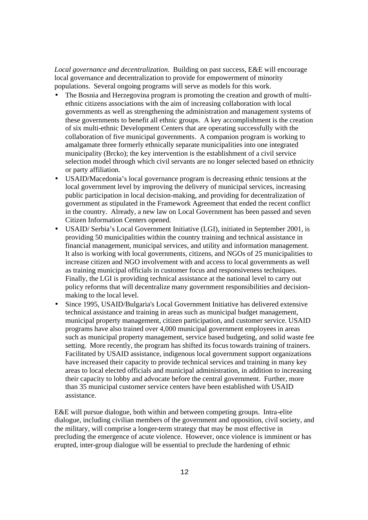*Local governance and decentralization*. Building on past success, E&E will encourage local governance and decentralization to provide for empowerment of minority populations. Several ongoing programs will serve as models for this work.

- The Bosnia and Herzegovina program is promoting the creation and growth of multiethnic citizens associations with the aim of increasing collaboration with local governments as well as strengthening the administration and management systems of these governments to benefit all ethnic groups. A key accomplishment is the creation of six multi-ethnic Development Centers that are operating successfully with the collaboration of five municipal governments. A companion program is working to amalgamate three formerly ethnically separate municipalities into one integrated municipality (Brcko); the key intervention is the establishment of a civil service selection model through which civil servants are no longer selected based on ethnicity or party affiliation.
- USAID/Macedonia's local governance program is decreasing ethnic tensions at the local government level by improving the delivery of municipal services, increasing public participation in local decision-making, and providing for decentralization of government as stipulated in the Framework Agreement that ended the recent conflict in the country. Already, a new law on Local Government has been passed and seven Citizen Information Centers opened.
- USAID/ Serbia's Local Government Initiative (LGI), initiated in September 2001, is providing 50 municipalities within the country training and technical assistance in financial management, municipal services, and utility and information management. It also is working with local governments, citizens, and NGOs of 25 municipalities to increase citizen and NGO involvement with and access to local governments as well as training municipal officials in customer focus and responsiveness techniques. Finally, the LGI is providing technical assistance at the national level to carry out policy reforms that will decentralize many government responsibilities and decisionmaking to the local level.
- Since 1995, USAID/Bulgaria's Local Government Initiative has delivered extensive technical assistance and training in areas such as municipal budget management, municipal property management, citizen participation, and customer service. USAID programs have also trained over 4,000 municipal government employees in areas such as municipal property management, service based budgeting, and solid waste fee setting. More recently, the program has shifted its focus towards training of trainers. Facilitated by USAID assistance, indigenous local government support organizations have increased their capacity to provide technical services and training in many key areas to local elected officials and municipal administration, in addition to increasing their capacity to lobby and advocate before the central government. Further, more than 35 municipal customer service centers have been established with USAID assistance.

E&E will pursue dialogue, both within and between competing groups. Intra-elite dialogue, including civilian members of the government and opposition, civil society, and the military, will comprise a longer-term strategy that may be most effective in precluding the emergence of acute violence. However, once violence is imminent or has erupted, inter-group dialogue will be essential to preclude the hardening of ethnic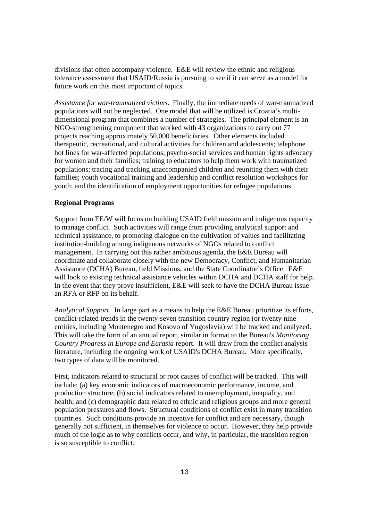divisions that often accompany violence. E&E will review the ethnic and religious tolerance assessment that USAID/Russia is pursuing to see if it can serve as a model for future work on this most important of topics.

*Assistance for war-traumatized victims*. Finally, the immediate needs of war-traumatized populations will not be neglected. One model that will be utilized is Croatia's multidimensional program that combines a number of strategies. The principal element is an NGO-strengthening component that worked with 43 organizations to carry out 77 projects reaching approximately 50,000 beneficiaries. Other elements included therapeutic, recreational, and cultural activities for children and adolescents; telephone hot lines for war-affected populations; psycho-social services and human rights advocacy for women and their families; training to educators to help them work with traumatized populations; tracing and tracking unaccompanied children and reuniting them with their families; youth vocational training and leadership and conflict resolution workshops for youth; and the identification of employment opportunities for refugee populations.

#### **Regional Programs**

Support from EE/W will focus on building USAID field mission and indigenous capacity to manage conflict. Such activities will range from providing analytical support and technical assistance, to promoting dialogue on the cultivation of values and facilitating institution-building among indigenous networks of NGOs related to conflict management. In carrying out this rather ambitious agenda, the E&E Bureau will coordinate and collaborate closely with the new Democracy, Conflict, and Humanitarian Assistance (DCHA) Bureau, field Missions, and the State Coordinator's Office. E&E will look to existing technical assistance vehicles within DCHA and DCHA staff for help. In the event that they prove insufficient, E&E will seek to have the DCHA Bureau issue an RFA or RFP on its behalf.

*Analytical Support*. In large part as a means to help the E&E Bureau prioritize its efforts, conflict-related trends in the twenty-seven transition country region (or twenty-nine entities, including Montenegro and Kosovo of Yugoslavia) will be tracked and analyzed. This will take the form of an annual report, similar in format to the Bureau's *Monitoring Country Progress in Europe and Eurasia* report. It will draw from the conflict analysis literature, including the ongoing work of USAID's DCHA Bureau. More specifically, two types of data will be monitored.

First, indicators related to structural or root causes of conflict will be tracked. This will include: (a) key economic indicators of macroeconomic performance, income, and production structure; (b) social indicators related to unemployment, inequality, and health; and (c) demographic data related to ethnic and religious groups and more general population pressures and flows. Structural conditions of conflict exist in many transition countries. Such conditions provide an incentive for conflict and are necessary, though generally not sufficient, in themselves for violence to occur. However, they help provide much of the logic as to why conflicts occur, and why, in particular, the transition region is so susceptible to conflict.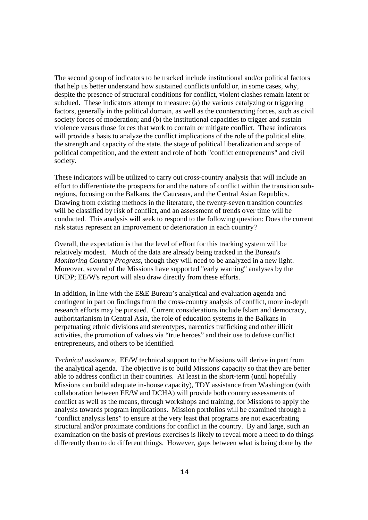The second group of indicators to be tracked include institutional and/or political factors that help us better understand how sustained conflicts unfold or, in some cases, why, despite the presence of structural conditions for conflict, violent clashes remain latent or subdued. These indicators attempt to measure: (a) the various catalyzing or triggering factors, generally in the political domain, as well as the counteracting forces, such as civil society forces of moderation; and (b) the institutional capacities to trigger and sustain violence versus those forces that work to contain or mitigate conflict. These indicators will provide a basis to analyze the conflict implications of the role of the political elite, the strength and capacity of the state, the stage of political liberalization and scope of political competition, and the extent and role of both "conflict entrepreneurs" and civil society.

These indicators will be utilized to carry out cross-country analysis that will include an effort to differentiate the prospects for and the nature of conflict within the transition subregions, focusing on the Balkans, the Caucasus, and the Central Asian Republics. Drawing from existing methods in the literature, the twenty-seven transition countries will be classified by risk of conflict, and an assessment of trends over time will be conducted. This analysis will seek to respond to the following question: Does the current risk status represent an improvement or deterioration in each country?

Overall, the expectation is that the level of effort for this tracking system will be relatively modest. Much of the data are already being tracked in the Bureau's *Monitoring Country Progress*, though they will need to be analyzed in a new light. Moreover, several of the Missions have supported "early warning" analyses by the UNDP; EE/W's report will also draw directly from these efforts.

In addition, in line with the E&E Bureau's analytical and evaluation agenda and contingent in part on findings from the cross-country analysis of conflict, more in-depth research efforts may be pursued. Current considerations include Islam and democracy, authoritarianism in Central Asia, the role of education systems in the Balkans in perpetuating ethnic divisions and stereotypes, narcotics trafficking and other illicit activities, the promotion of values via "true heroes" and their use to defuse conflict entrepreneurs, and others to be identified.

*Technical assistance*. EE/W technical support to the Missions will derive in part from the analytical agenda. The objective is to build Missions' capacity so that they are better able to address conflict in their countries. At least in the short-term (until hopefully Missions can build adequate in-house capacity), TDY assistance from Washington (with collaboration between EE/W and DCHA) will provide both country assessments of conflict as well as the means, through workshops and training, for Missions to apply the analysis towards program implications. Mission portfolios will be examined through a "conflict analysis lens" to ensure at the very least that programs are not exacerbating structural and/or proximate conditions for conflict in the country. By and large, such an examination on the basis of previous exercises is likely to reveal more a need to do things differently than to do different things. However, gaps between what is being done by the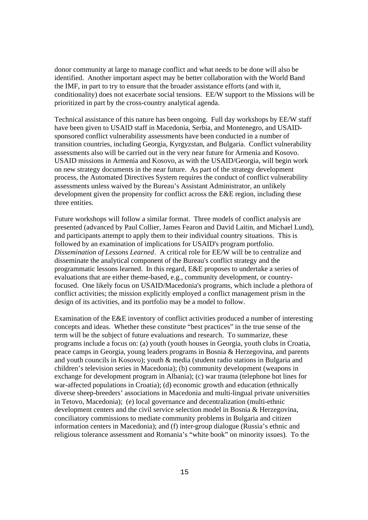donor community at large to manage conflict and what needs to be done will also be identified. Another important aspect may be better collaboration with the World Band the IMF, in part to try to ensure that the broader assistance efforts (and with it, conditionality) does not exacerbate social tensions. EE/W support to the Missions will be prioritized in part by the cross-country analytical agenda.

Technical assistance of this nature has been ongoing. Full day workshops by EE/W staff have been given to USAID staff in Macedonia, Serbia, and Montenegro, and USAIDsponsored conflict vulnerability assessments have been conducted in a number of transition countries, including Georgia, Kyrgyzstan, and Bulgaria. Conflict vulnerability assessments also will be carried out in the very near future for Armenia and Kosovo. USAID missions in Armenia and Kosovo, as with the USAID/Georgia, will begin work on new strategy documents in the near future. As part of the strategy development process, the Automated Directives System requires the conduct of conflict vulnerability assessments unless waived by the Bureau's Assistant Administrator, an unlikely development given the propensity for conflict across the E&E region, including these three entities.

Future workshops will follow a similar format. Three models of conflict analysis are presented (advanced by Paul Collier, James Fearon and David Laitin, and Michael Lund), and participants attempt to apply them to their individual country situations. This is followed by an examination of implications for USAID's program portfolio. *Dissemination of Lessons Learned*. A critical role for EE/W will be to centralize and disseminate the analytical component of the Bureau's conflict strategy and the programmatic lessons learned. In this regard, E&E proposes to undertake a series of evaluations that are either theme-based, e.g., community development, or countryfocused. One likely focus on USAID/Macedonia's programs, which include a plethora of conflict activities; the mission explicitly employed a conflict management prism in the design of its activities, and its portfolio may be a model to follow.

Examination of the E&E inventory of conflict activities produced a number of interesting concepts and ideas. Whether these constitute "best practices" in the true sense of the term will be the subject of future evaluations and research. To summarize, these programs include a focus on: (a) youth (youth houses in Georgia, youth clubs in Croatia, peace camps in Georgia, young leaders programs in Bosnia & Herzegovina, and parents and youth councils in Kosovo); youth & media (student radio stations in Bulgaria and children's television series in Macedonia); (b) community development (weapons in exchange for development program in Albania); (c) war trauma (telephone hot lines for war-affected populations in Croatia); (d) economic growth and education (ethnically diverse sheep-breeders' associations in Macedonia and multi-lingual private universities in Tetovo, Macedonia); (e) local governance and decentralization (multi-ethnic development centers and the civil service selection model in Bosnia & Herzegovina, conciliatory commissions to mediate community problems in Bulgaria and citizen information centers in Macedonia); and (f) inter-group dialogue (Russia's ethnic and religious tolerance assessment and Romania's "white book" on minority issues). To the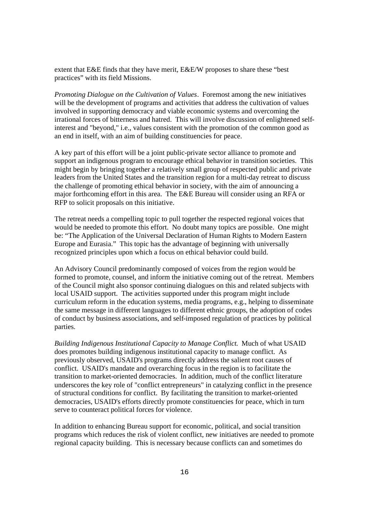extent that E&E finds that they have merit, E&E/W proposes to share these "best practices" with its field Missions.

*Promoting Dialogue on the Cultivation of Values*. Foremost among the new initiatives will be the development of programs and activities that address the cultivation of values involved in supporting democracy and viable economic systems and overcoming the irrational forces of bitterness and hatred. This will involve discussion of enlightened selfinterest and "beyond," i.e., values consistent with the promotion of the common good as an end in itself, with an aim of building constituencies for peace.

A key part of this effort will be a joint public-private sector alliance to promote and support an indigenous program to encourage ethical behavior in transition societies. This might begin by bringing together a relatively small group of respected public and private leaders from the United States and the transition region for a multi-day retreat to discuss the challenge of promoting ethical behavior in society, with the aim of announcing a major forthcoming effort in this area. The E&E Bureau will consider using an RFA or RFP to solicit proposals on this initiative.

The retreat needs a compelling topic to pull together the respected regional voices that would be needed to promote this effort. No doubt many topics are possible. One might be: "The Application of the Universal Declaration of Human Rights to Modern Eastern Europe and Eurasia." This topic has the advantage of beginning with universally recognized principles upon which a focus on ethical behavior could build.

An Advisory Council predominantly composed of voices from the region would be formed to promote, counsel, and inform the initiative coming out of the retreat. Members of the Council might also sponsor continuing dialogues on this and related subjects with local USAID support. The activities supported under this program might include curriculum reform in the education systems, media programs, e.g., helping to disseminate the same message in different languages to different ethnic groups, the adoption of codes of conduct by business associations, and self-imposed regulation of practices by political parties.

*Building Indigenous Institutional Capacity to Manage Conflict*. Much of what USAID does promotes building indigenous institutional capacity to manage conflict. As previously observed, USAID's programs directly address the salient root causes of conflict. USAID's mandate and overarching focus in the region is to facilitate the transition to market-oriented democracies. In addition, much of the conflict literature underscores the key role of "conflict entrepreneurs" in catalyzing conflict in the presence of structural conditions for conflict. By facilitating the transition to market-oriented democracies, USAID's efforts directly promote constituencies for peace, which in turn serve to counteract political forces for violence.

In addition to enhancing Bureau support for economic, political, and social transition programs which reduces the risk of violent conflict, new initiatives are needed to promote regional capacity building. This is necessary because conflicts can and sometimes do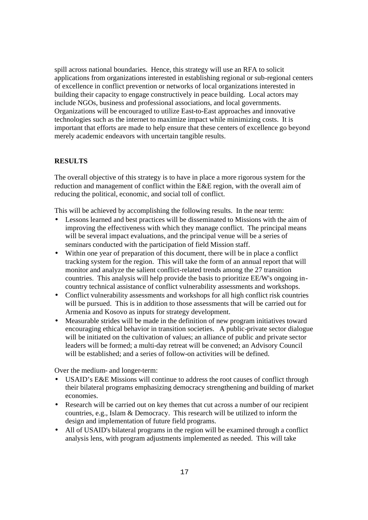spill across national boundaries. Hence, this strategy will use an RFA to solicit applications from organizations interested in establishing regional or sub-regional centers of excellence in conflict prevention or networks of local organizations interested in building their capacity to engage constructively in peace building. Local actors may include NGOs, business and professional associations, and local governments. Organizations will be encouraged to utilize East-to-East approaches and innovative technologies such as the internet to maximize impact while minimizing costs. It is important that efforts are made to help ensure that these centers of excellence go beyond merely academic endeavors with uncertain tangible results.

### **RESULTS**

The overall objective of this strategy is to have in place a more rigorous system for the reduction and management of conflict within the E&E region, with the overall aim of reducing the political, economic, and social toll of conflict.

This will be achieved by accomplishing the following results. In the near term:

- Lessons learned and best practices will be disseminated to Missions with the aim of improving the effectiveness with which they manage conflict. The principal means will be several impact evaluations, and the principal venue will be a series of seminars conducted with the participation of field Mission staff.
- Within one year of preparation of this document, there will be in place a conflict tracking system for the region. This will take the form of an annual report that will monitor and analyze the salient conflict-related trends among the 27 transition countries. This analysis will help provide the basis to prioritize EE/W's ongoing incountry technical assistance of conflict vulnerability assessments and workshops.
- Conflict vulnerability assessments and workshops for all high conflict risk countries will be pursued. This is in addition to those assessments that will be carried out for Armenia and Kosovo as inputs for strategy development.
- Measurable strides will be made in the definition of new program initiatives toward encouraging ethical behavior in transition societies. A public-private sector dialogue will be initiated on the cultivation of values; an alliance of public and private sector leaders will be formed; a multi-day retreat will be convened; an Advisory Council will be established; and a series of follow-on activities will be defined.

Over the medium- and longer-term:

- USAID's E&E Missions will continue to address the root causes of conflict through their bilateral programs emphasizing democracy strengthening and building of market economies.
- Research will be carried out on key themes that cut across a number of our recipient countries, e.g., Islam & Democracy. This research will be utilized to inform the design and implementation of future field programs.
- All of USAID's bilateral programs in the region will be examined through a conflict analysis lens, with program adjustments implemented as needed. This will take